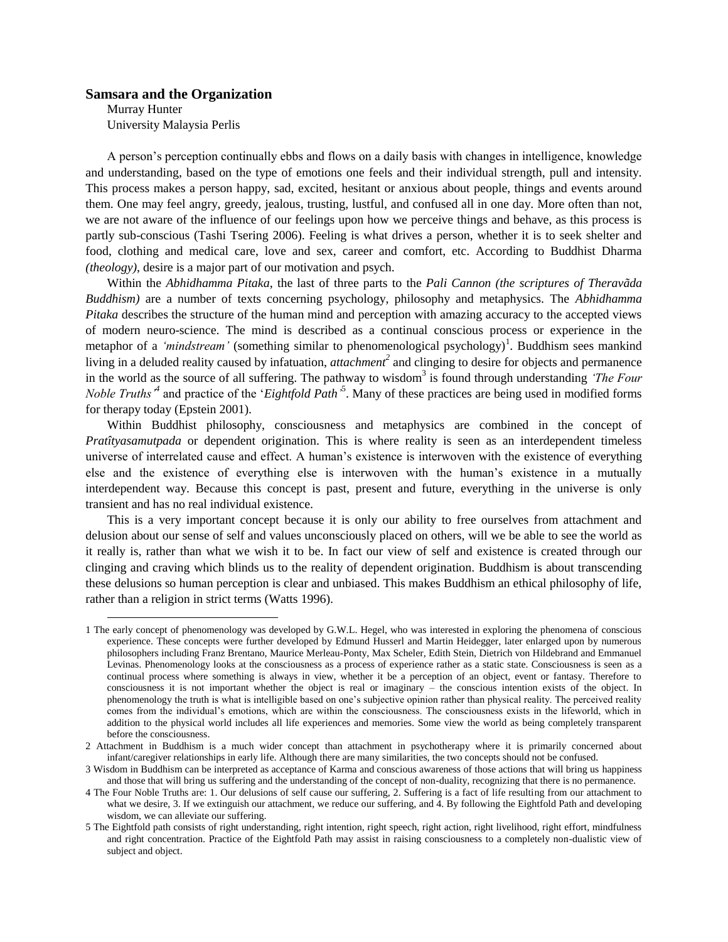## **Samsara and the Organization**

Murray Hunter University Malaysia Perlis

 $\overline{a}$ 

A person's perception continually ebbs and flows on a daily basis with changes in intelligence, knowledge and understanding, based on the type of emotions one feels and their individual strength, pull and intensity. This process makes a person happy, sad, excited, hesitant or anxious about people, things and events around them. One may feel angry, greedy, jealous, trusting, lustful, and confused all in one day. More often than not, we are not aware of the influence of our feelings upon how we perceive things and behave, as this process is partly sub-conscious (Tashi Tsering 2006). Feeling is what drives a person, whether it is to seek shelter and food, clothing and medical care, love and sex, career and comfort, etc. According to Buddhist Dharma *(theology)*, desire is a major part of our motivation and psych.

Within the *Abhidhamma Pitaka*, the last of three parts to the *Pali Cannon (the scriptures of Theravãda Buddhism)* are a number of texts concerning psychology, philosophy and metaphysics. The *Abhidhamma Pitaka* describes the structure of the human mind and perception with amazing accuracy to the accepted views of modern neuro-science. The mind is described as a continual conscious process or experience in the metaphor of a *'mindstream'* (something similar to phenomenological psychology)<sup>1</sup>. Buddhism sees mankind living in a deluded reality caused by infatuation, *attachment*<sup>2</sup> and clinging to desire for objects and permanence in the world as the source of all suffering. The pathway to wisdom<sup>3</sup> is found through understanding *'The Four Noble Truths*<sup>4</sup> and practice of the '*Eightfold Path*<sup>5</sup>. Many of these practices are being used in modified forms for therapy today (Epstein 2001).

Within Buddhist philosophy, consciousness and metaphysics are combined in the concept of *Pratîtyasamutpada* or dependent origination. This is where reality is seen as an interdependent timeless universe of interrelated cause and effect. A human's existence is interwoven with the existence of everything else and the existence of everything else is interwoven with the human's existence in a mutually interdependent way. Because this concept is past, present and future, everything in the universe is only transient and has no real individual existence.

This is a very important concept because it is only our ability to free ourselves from attachment and delusion about our sense of self and values unconsciously placed on others, will we be able to see the world as it really is, rather than what we wish it to be. In fact our view of self and existence is created through our clinging and craving which blinds us to the reality of dependent origination. Buddhism is about transcending these delusions so human perception is clear and unbiased. This makes Buddhism an ethical philosophy of life, rather than a religion in strict terms (Watts 1996).

<sup>1</sup> The early concept of phenomenology was developed by G.W.L. Hegel, who was interested in exploring the phenomena of conscious experience. These concepts were further developed by Edmund Husserl and Martin Heidegger, later enlarged upon by numerous philosophers including Franz Brentano, Maurice Merleau-Ponty, Max Scheler, Edith Stein, Dietrich von Hildebrand and Emmanuel Levinas. Phenomenology looks at the consciousness as a process of experience rather as a static state. Consciousness is seen as a continual process where something is always in view, whether it be a perception of an object, event or fantasy. Therefore to consciousness it is not important whether the object is real or imaginary – the conscious intention exists of the object. In phenomenology the truth is what is intelligible based on one's subjective opinion rather than physical reality. The perceived reality comes from the individual's emotions, which are within the consciousness. The consciousness exists in the lifeworld, which in addition to the physical world includes all life experiences and memories. Some view the world as being completely transparent before the consciousness.

<sup>2</sup> Attachment in Buddhism is a much wider concept than attachment in psychotherapy where it is primarily concerned about infant/caregiver relationships in early life. Although there are many similarities, the two concepts should not be confused.

<sup>3</sup> Wisdom in Buddhism can be interpreted as acceptance of Karma and conscious awareness of those actions that will bring us happiness and those that will bring us suffering and the understanding of the concept of non-duality, recognizing that there is no permanence.

<sup>4</sup> The Four Noble Truths are: 1. Our delusions of self cause our suffering, 2. Suffering is a fact of life resulting from our attachment to what we desire, 3. If we extinguish our attachment, we reduce our suffering, and 4. By following the Eightfold Path and developing wisdom, we can alleviate our suffering.

<sup>5</sup> The Eightfold path consists of right understanding, right intention, right speech, right action, right livelihood, right effort, mindfulness and right concentration. Practice of the Eightfold Path may assist in raising consciousness to a completely non-dualistic view of subject and object.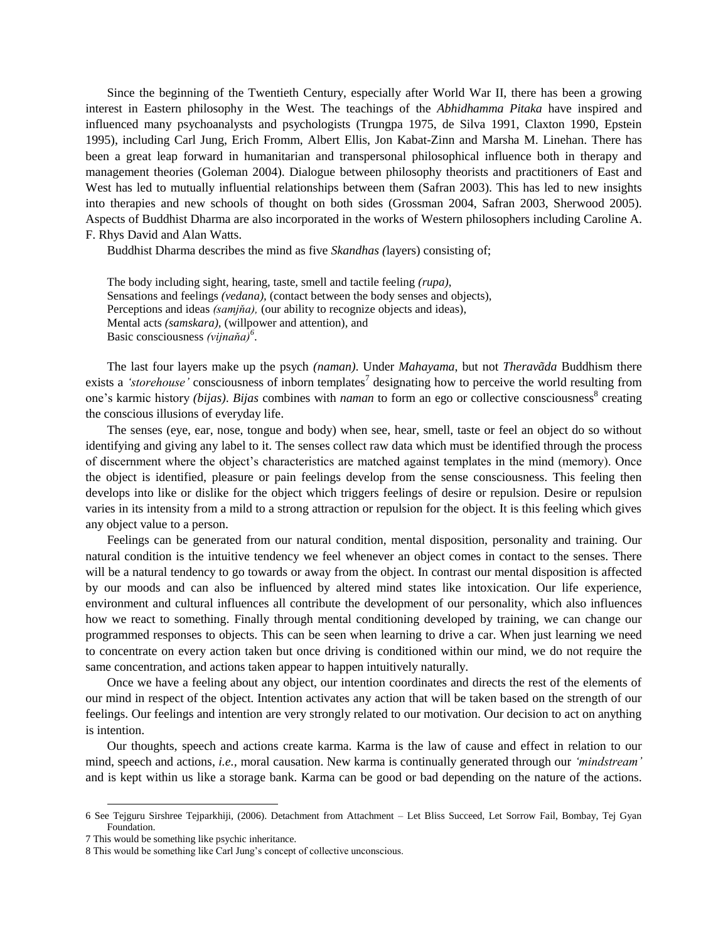Since the beginning of the Twentieth Century, especially after World War II, there has been a growing interest in Eastern philosophy in the West. The teachings of the *Abhidhamma Pitaka* have inspired and influenced many psychoanalysts and psychologists (Trungpa 1975, de Silva 1991, Claxton 1990, Epstein 1995), including Carl Jung, Erich Fromm, Albert Ellis, Jon Kabat-Zinn and Marsha M. Linehan. There has been a great leap forward in humanitarian and transpersonal philosophical influence both in therapy and management theories (Goleman 2004). Dialogue between philosophy theorists and practitioners of East and West has led to mutually influential relationships between them (Safran 2003). This has led to new insights into therapies and new schools of thought on both sides (Grossman 2004, Safran 2003, Sherwood 2005). Aspects of Buddhist Dharma are also incorporated in the works of Western philosophers including Caroline A. F. Rhys David and Alan Watts.

Buddhist Dharma describes the mind as five *Skandhas (*layers) consisting of;

The body including sight, hearing, taste, smell and tactile feeling *(rupa)*, Sensations and feelings *(vedana),* (contact between the body senses and objects), Perceptions and ideas *(samjňa),* (our ability to recognize objects and ideas), Mental acts *(samskara),* (willpower and attention), and Basic consciousness *(vijnaňa)<sup>6</sup>* .

The last four layers make up the psych *(naman)*. Under *Mahayama*, but not *Theravãda* Buddhism there exists a *'storehouse'* consciousness of inborn templates<sup>7</sup> designating how to perceive the world resulting from one's karmic history *(bijas)*. *Bijas* combines with *naman* to form an ego or collective consciousness<sup>8</sup> creating the conscious illusions of everyday life.

The senses (eye, ear, nose, tongue and body) when see, hear, smell, taste or feel an object do so without identifying and giving any label to it. The senses collect raw data which must be identified through the process of discernment where the object's characteristics are matched against templates in the mind (memory). Once the object is identified, pleasure or pain feelings develop from the sense consciousness. This feeling then develops into like or dislike for the object which triggers feelings of desire or repulsion. Desire or repulsion varies in its intensity from a mild to a strong attraction or repulsion for the object. It is this feeling which gives any object value to a person.

Feelings can be generated from our natural condition, mental disposition, personality and training. Our natural condition is the intuitive tendency we feel whenever an object comes in contact to the senses. There will be a natural tendency to go towards or away from the object. In contrast our mental disposition is affected by our moods and can also be influenced by altered mind states like intoxication. Our life experience, environment and cultural influences all contribute the development of our personality, which also influences how we react to something. Finally through mental conditioning developed by training, we can change our programmed responses to objects. This can be seen when learning to drive a car. When just learning we need to concentrate on every action taken but once driving is conditioned within our mind, we do not require the same concentration, and actions taken appear to happen intuitively naturally.

Once we have a feeling about any object, our intention coordinates and directs the rest of the elements of our mind in respect of the object. Intention activates any action that will be taken based on the strength of our feelings. Our feelings and intention are very strongly related to our motivation. Our decision to act on anything is intention.

Our thoughts, speech and actions create karma. Karma is the law of cause and effect in relation to our mind, speech and actions, *i.e.,* moral causation. New karma is continually generated through our *"mindstream"* and is kept within us like a storage bank. Karma can be good or bad depending on the nature of the actions.

<sup>6</sup> See Tejguru Sirshree Tejparkhiji, (2006). Detachment from Attachment – Let Bliss Succeed, Let Sorrow Fail, Bombay, Tej Gyan Foundation.

<sup>7</sup> This would be something like psychic inheritance.

<sup>8</sup> This would be something like Carl Jung's concept of collective unconscious.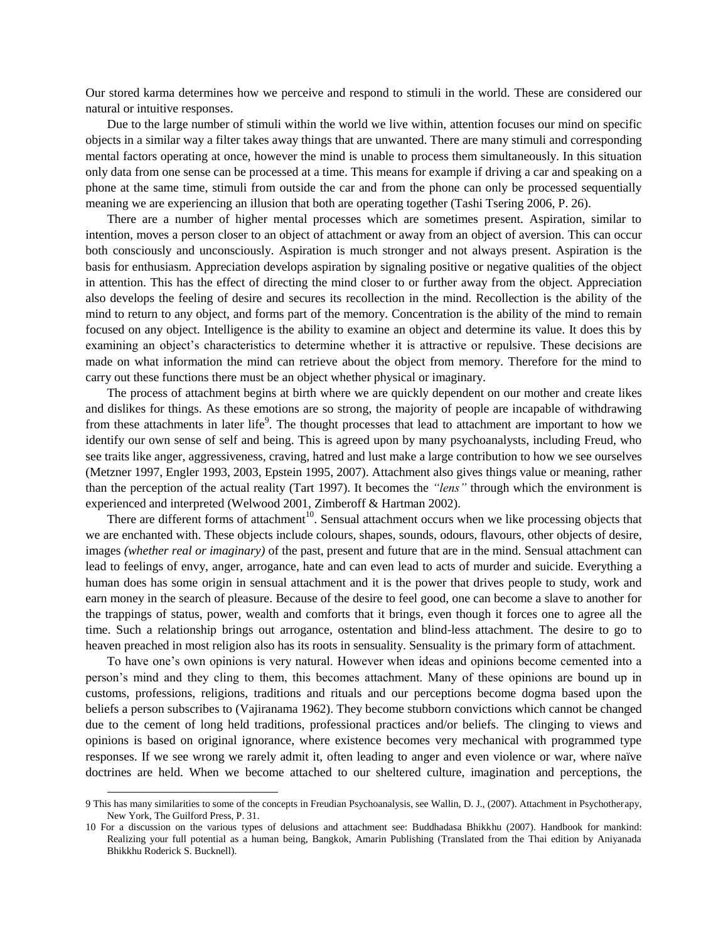Our stored karma determines how we perceive and respond to stimuli in the world. These are considered our natural or intuitive responses.

Due to the large number of stimuli within the world we live within, attention focuses our mind on specific objects in a similar way a filter takes away things that are unwanted. There are many stimuli and corresponding mental factors operating at once, however the mind is unable to process them simultaneously. In this situation only data from one sense can be processed at a time. This means for example if driving a car and speaking on a phone at the same time, stimuli from outside the car and from the phone can only be processed sequentially meaning we are experiencing an illusion that both are operating together (Tashi Tsering 2006, P. 26).

There are a number of higher mental processes which are sometimes present. Aspiration, similar to intention, moves a person closer to an object of attachment or away from an object of aversion. This can occur both consciously and unconsciously. Aspiration is much stronger and not always present. Aspiration is the basis for enthusiasm. Appreciation develops aspiration by signaling positive or negative qualities of the object in attention. This has the effect of directing the mind closer to or further away from the object. Appreciation also develops the feeling of desire and secures its recollection in the mind. Recollection is the ability of the mind to return to any object, and forms part of the memory. Concentration is the ability of the mind to remain focused on any object. Intelligence is the ability to examine an object and determine its value. It does this by examining an object's characteristics to determine whether it is attractive or repulsive. These decisions are made on what information the mind can retrieve about the object from memory. Therefore for the mind to carry out these functions there must be an object whether physical or imaginary.

The process of attachment begins at birth where we are quickly dependent on our mother and create likes and dislikes for things. As these emotions are so strong, the majority of people are incapable of withdrawing from these attachments in later life<sup>9</sup>. The thought processes that lead to attachment are important to how we identify our own sense of self and being. This is agreed upon by many psychoanalysts, including Freud, who see traits like anger, aggressiveness, craving, hatred and lust make a large contribution to how we see ourselves (Metzner 1997, Engler 1993, 2003, Epstein 1995, 2007). Attachment also gives things value or meaning, rather than the perception of the actual reality (Tart 1997). It becomes the *"lens"* through which the environment is experienced and interpreted (Welwood 2001, Zimberoff & Hartman 2002).

There are different forms of attachment<sup>10</sup>. Sensual attachment occurs when we like processing objects that we are enchanted with. These objects include colours, shapes, sounds, odours, flavours, other objects of desire, images *(whether real or imaginary)* of the past, present and future that are in the mind. Sensual attachment can lead to feelings of envy, anger, arrogance, hate and can even lead to acts of murder and suicide. Everything a human does has some origin in sensual attachment and it is the power that drives people to study, work and earn money in the search of pleasure. Because of the desire to feel good, one can become a slave to another for the trappings of status, power, wealth and comforts that it brings, even though it forces one to agree all the time. Such a relationship brings out arrogance, ostentation and blind-less attachment. The desire to go to heaven preached in most religion also has its roots in sensuality. Sensuality is the primary form of attachment.

To have one's own opinions is very natural. However when ideas and opinions become cemented into a person's mind and they cling to them, this becomes attachment. Many of these opinions are bound up in customs, professions, religions, traditions and rituals and our perceptions become dogma based upon the beliefs a person subscribes to (Vajiranama 1962). They become stubborn convictions which cannot be changed due to the cement of long held traditions, professional practices and/or beliefs. The clinging to views and opinions is based on original ignorance, where existence becomes very mechanical with programmed type responses. If we see wrong we rarely admit it, often leading to anger and even violence or war, where naïve doctrines are held. When we become attached to our sheltered culture, imagination and perceptions, the

<sup>9</sup> This has many similarities to some of the concepts in Freudian Psychoanalysis, see Wallin, D. J., (2007). Attachment in Psychotherapy, New York, The Guilford Press, P. 31.

<sup>10</sup> For a discussion on the various types of delusions and attachment see: Buddhadasa Bhikkhu (2007). Handbook for mankind: Realizing your full potential as a human being, Bangkok, Amarin Publishing (Translated from the Thai edition by Aniyanada Bhikkhu Roderick S. Bucknell).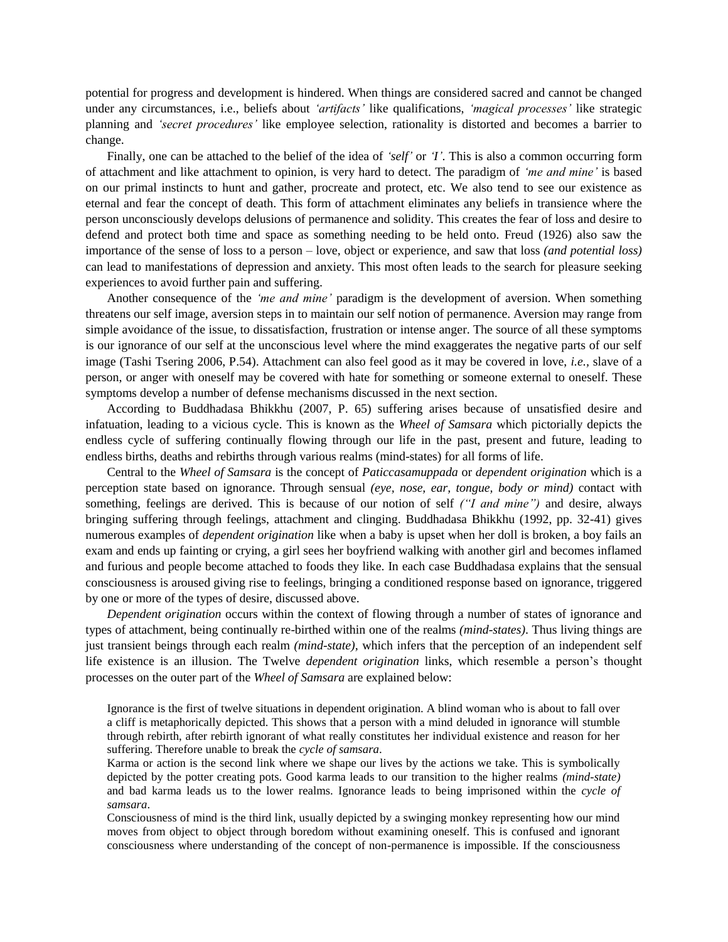potential for progress and development is hindered. When things are considered sacred and cannot be changed under any circumstances, i.e., beliefs about *"artifacts"* like qualifications, *"magical processes"* like strategic planning and *"secret procedures"* like employee selection, rationality is distorted and becomes a barrier to change.

Finally, one can be attached to the belief of the idea of *'self'* or *T*'. This is also a common occurring form of attachment and like attachment to opinion, is very hard to detect. The paradigm of *"me and mine"* is based on our primal instincts to hunt and gather, procreate and protect, etc. We also tend to see our existence as eternal and fear the concept of death. This form of attachment eliminates any beliefs in transience where the person unconsciously develops delusions of permanence and solidity. This creates the fear of loss and desire to defend and protect both time and space as something needing to be held onto. Freud (1926) also saw the importance of the sense of loss to a person – love, object or experience, and saw that loss *(and potential loss)* can lead to manifestations of depression and anxiety. This most often leads to the search for pleasure seeking experiences to avoid further pain and suffering.

Another consequence of the *"me and mine"* paradigm is the development of aversion. When something threatens our self image, aversion steps in to maintain our self notion of permanence. Aversion may range from simple avoidance of the issue, to dissatisfaction, frustration or intense anger. The source of all these symptoms is our ignorance of our self at the unconscious level where the mind exaggerates the negative parts of our self image (Tashi Tsering 2006, P.54). Attachment can also feel good as it may be covered in love, *i.e.,* slave of a person, or anger with oneself may be covered with hate for something or someone external to oneself. These symptoms develop a number of defense mechanisms discussed in the next section.

According to Buddhadasa Bhikkhu (2007, P. 65) suffering arises because of unsatisfied desire and infatuation, leading to a vicious cycle. This is known as the *Wheel of Samsara* which pictorially depicts the endless cycle of suffering continually flowing through our life in the past, present and future, leading to endless births, deaths and rebirths through various realms (mind-states) for all forms of life.

Central to the *Wheel of Samsara* is the concept of *Paticcasamuppada* or *dependent origination* which is a perception state based on ignorance. Through sensual *(eye, nose, ear, tongue, body or mind)* contact with something, feelings are derived. This is because of our notion of self *("I and mine")* and desire, always bringing suffering through feelings, attachment and clinging. Buddhadasa Bhikkhu (1992, pp. 32-41) gives numerous examples of *dependent origination* like when a baby is upset when her doll is broken, a boy fails an exam and ends up fainting or crying, a girl sees her boyfriend walking with another girl and becomes inflamed and furious and people become attached to foods they like. In each case Buddhadasa explains that the sensual consciousness is aroused giving rise to feelings, bringing a conditioned response based on ignorance, triggered by one or more of the types of desire, discussed above.

*Dependent origination* occurs within the context of flowing through a number of states of ignorance and types of attachment, being continually re-birthed within one of the realms *(mind-states)*. Thus living things are just transient beings through each realm *(mind-state),* which infers that the perception of an independent self life existence is an illusion. The Twelve *dependent origination* links, which resemble a person's thought processes on the outer part of the *Wheel of Samsara* are explained below:

Ignorance is the first of twelve situations in dependent origination. A blind woman who is about to fall over a cliff is metaphorically depicted. This shows that a person with a mind deluded in ignorance will stumble through rebirth, after rebirth ignorant of what really constitutes her individual existence and reason for her suffering. Therefore unable to break the *cycle of samsara*.

Karma or action is the second link where we shape our lives by the actions we take. This is symbolically depicted by the potter creating pots. Good karma leads to our transition to the higher realms *(mind-state)* and bad karma leads us to the lower realms. Ignorance leads to being imprisoned within the *cycle of samsara*.

Consciousness of mind is the third link, usually depicted by a swinging monkey representing how our mind moves from object to object through boredom without examining oneself. This is confused and ignorant consciousness where understanding of the concept of non-permanence is impossible. If the consciousness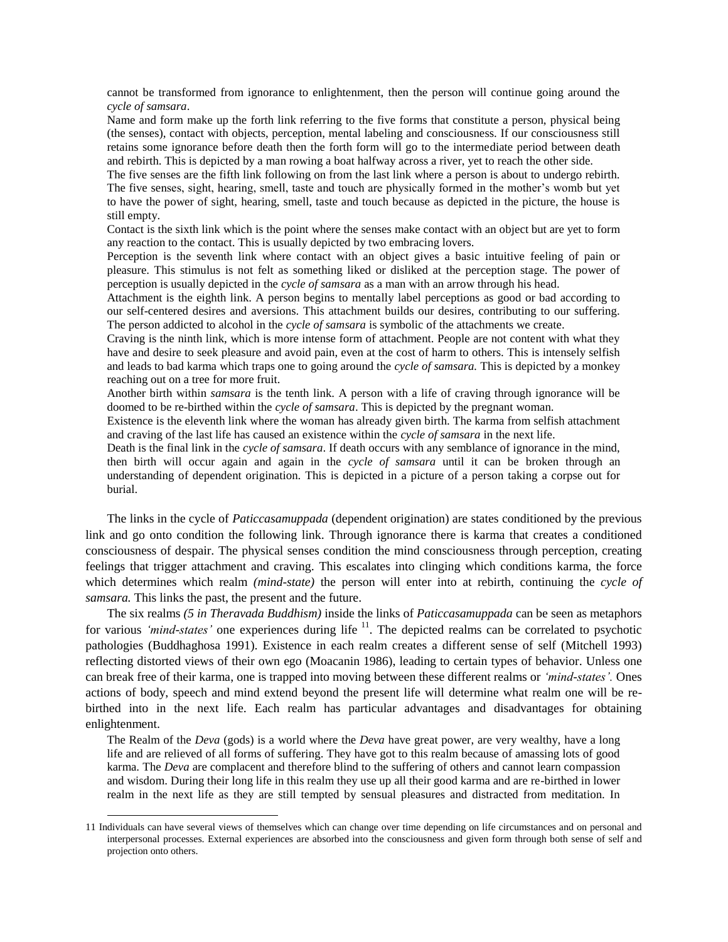cannot be transformed from ignorance to enlightenment, then the person will continue going around the *cycle of samsara*.

Name and form make up the forth link referring to the five forms that constitute a person, physical being (the senses), contact with objects, perception, mental labeling and consciousness. If our consciousness still retains some ignorance before death then the forth form will go to the intermediate period between death and rebirth. This is depicted by a man rowing a boat halfway across a river, yet to reach the other side.

The five senses are the fifth link following on from the last link where a person is about to undergo rebirth. The five senses, sight, hearing, smell, taste and touch are physically formed in the mother's womb but yet to have the power of sight, hearing, smell, taste and touch because as depicted in the picture, the house is still empty.

Contact is the sixth link which is the point where the senses make contact with an object but are yet to form any reaction to the contact. This is usually depicted by two embracing lovers.

Perception is the seventh link where contact with an object gives a basic intuitive feeling of pain or pleasure. This stimulus is not felt as something liked or disliked at the perception stage. The power of perception is usually depicted in the *cycle of samsara* as a man with an arrow through his head.

Attachment is the eighth link. A person begins to mentally label perceptions as good or bad according to our self-centered desires and aversions. This attachment builds our desires, contributing to our suffering. The person addicted to alcohol in the *cycle of samsara* is symbolic of the attachments we create.

Craving is the ninth link, which is more intense form of attachment. People are not content with what they have and desire to seek pleasure and avoid pain, even at the cost of harm to others. This is intensely selfish and leads to bad karma which traps one to going around the *cycle of samsara.* This is depicted by a monkey reaching out on a tree for more fruit.

Another birth within *samsara* is the tenth link. A person with a life of craving through ignorance will be doomed to be re-birthed within the *cycle of samsara*. This is depicted by the pregnant woman.

Existence is the eleventh link where the woman has already given birth. The karma from selfish attachment and craving of the last life has caused an existence within the *cycle of samsara* in the next life.

Death is the final link in the *cycle of samsara*. If death occurs with any semblance of ignorance in the mind, then birth will occur again and again in the *cycle of samsara* until it can be broken through an understanding of dependent origination. This is depicted in a picture of a person taking a corpse out for burial.

The links in the cycle of *Paticcasamuppada* (dependent origination) are states conditioned by the previous link and go onto condition the following link. Through ignorance there is karma that creates a conditioned consciousness of despair. The physical senses condition the mind consciousness through perception, creating feelings that trigger attachment and craving. This escalates into clinging which conditions karma, the force which determines which realm *(mind-state)* the person will enter into at rebirth, continuing the *cycle of samsara.* This links the past, the present and the future.

The six realms *(5 in Theravada Buddhism)* inside the links of *Paticcasamuppada* can be seen as metaphors for various *'mind-states'* one experiences during life <sup>11</sup>. The depicted realms can be correlated to psychotic pathologies (Buddhaghosa 1991). Existence in each realm creates a different sense of self (Mitchell 1993) reflecting distorted views of their own ego (Moacanin 1986), leading to certain types of behavior. Unless one can break free of their karma, one is trapped into moving between these different realms or *"mind-states".* Ones actions of body, speech and mind extend beyond the present life will determine what realm one will be rebirthed into in the next life. Each realm has particular advantages and disadvantages for obtaining enlightenment.

The Realm of the *Deva* (gods) is a world where the *Deva* have great power, are very wealthy, have a long life and are relieved of all forms of suffering. They have got to this realm because of amassing lots of good karma. The *Deva* are complacent and therefore blind to the suffering of others and cannot learn compassion and wisdom. During their long life in this realm they use up all their good karma and are re-birthed in lower realm in the next life as they are still tempted by sensual pleasures and distracted from meditation. In

<sup>11</sup> Individuals can have several views of themselves which can change over time depending on life circumstances and on personal and interpersonal processes. External experiences are absorbed into the consciousness and given form through both sense of self and projection onto others.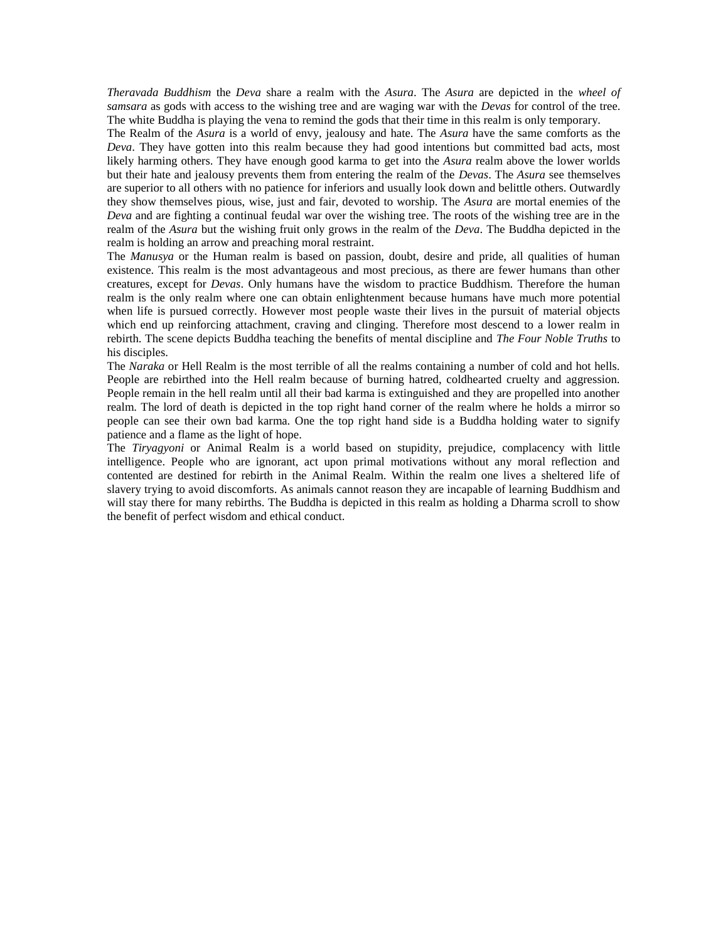*Theravada Buddhism* the *Deva* share a realm with the *Asura*. The *Asura* are depicted in the *wheel of samsara* as gods with access to the wishing tree and are waging war with the *Devas* for control of the tree. The white Buddha is playing the vena to remind the gods that their time in this realm is only temporary.

The Realm of the *Asura* is a world of envy, jealousy and hate. The *Asura* have the same comforts as the *Deva*. They have gotten into this realm because they had good intentions but committed bad acts, most likely harming others. They have enough good karma to get into the *Asura* realm above the lower worlds but their hate and jealousy prevents them from entering the realm of the *Devas*. The *Asura* see themselves are superior to all others with no patience for inferiors and usually look down and belittle others. Outwardly they show themselves pious, wise, just and fair, devoted to worship. The *Asura* are mortal enemies of the *Deva* and are fighting a continual feudal war over the wishing tree. The roots of the wishing tree are in the realm of the *Asura* but the wishing fruit only grows in the realm of the *Deva*. The Buddha depicted in the realm is holding an arrow and preaching moral restraint.

The *Manusya* or the Human realm is based on passion, doubt, desire and pride, all qualities of human existence. This realm is the most advantageous and most precious, as there are fewer humans than other creatures, except for *Devas*. Only humans have the wisdom to practice Buddhism. Therefore the human realm is the only realm where one can obtain enlightenment because humans have much more potential when life is pursued correctly. However most people waste their lives in the pursuit of material objects which end up reinforcing attachment, craving and clinging. Therefore most descend to a lower realm in rebirth. The scene depicts Buddha teaching the benefits of mental discipline and *The Four Noble Truths* to his disciples.

The *Naraka* or Hell Realm is the most terrible of all the realms containing a number of cold and hot hells. People are rebirthed into the Hell realm because of burning hatred, coldhearted cruelty and aggression. People remain in the hell realm until all their bad karma is extinguished and they are propelled into another realm. The lord of death is depicted in the top right hand corner of the realm where he holds a mirror so people can see their own bad karma. One the top right hand side is a Buddha holding water to signify patience and a flame as the light of hope.

The *Tiryagyoni* or Animal Realm is a world based on stupidity, prejudice, complacency with little intelligence. People who are ignorant, act upon primal motivations without any moral reflection and contented are destined for rebirth in the Animal Realm. Within the realm one lives a sheltered life of slavery trying to avoid discomforts. As animals cannot reason they are incapable of learning Buddhism and will stay there for many rebirths. The Buddha is depicted in this realm as holding a Dharma scroll to show the benefit of perfect wisdom and ethical conduct.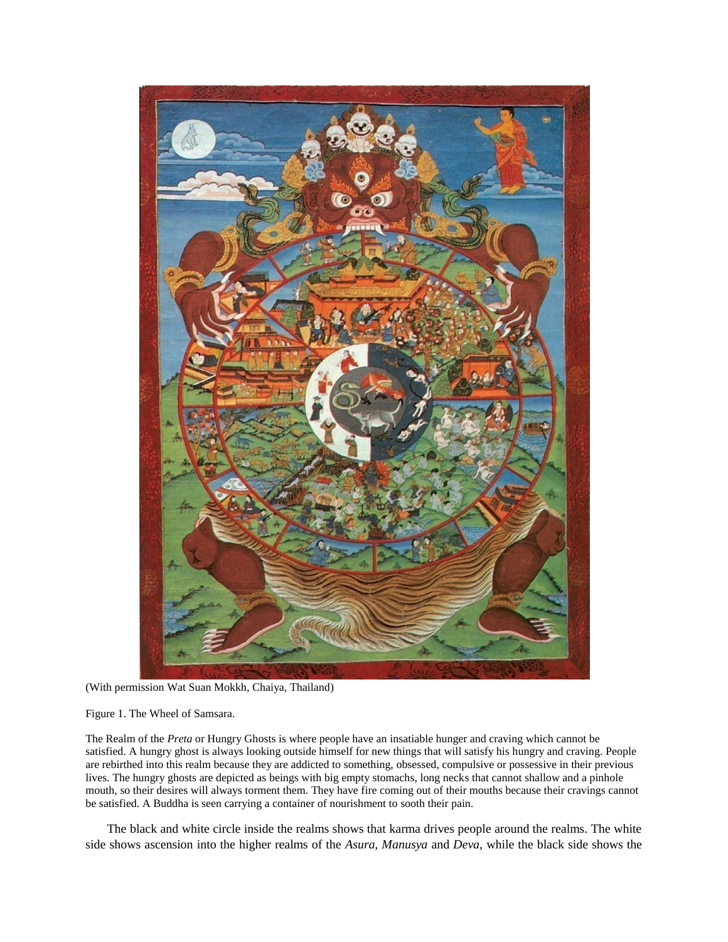

(With permission Wat Suan Mokkh, Chaiya, Thailand)

Figure 1. The Wheel of Samsara.

The Realm of the *Preta* or Hungry Ghosts is where people have an insatiable hunger and craving which cannot be satisfied. A hungry ghost is always looking outside himself for new things that will satisfy his hungry and craving. People are rebirthed into this realm because they are addicted to something, obsessed, compulsive or possessive in their previous lives. The hungry ghosts are depicted as beings with big empty stomachs, long necks that cannot shallow and a pinhole mouth, so their desires will always torment them. They have fire coming out of their mouths because their cravings cannot be satisfied. A Buddha is seen carrying a container of nourishment to sooth their pain.

The black and white circle inside the realms shows that karma drives people around the realms. The white side shows ascension into the higher realms of the *Asura, Manusya* and *Deva*, while the black side shows the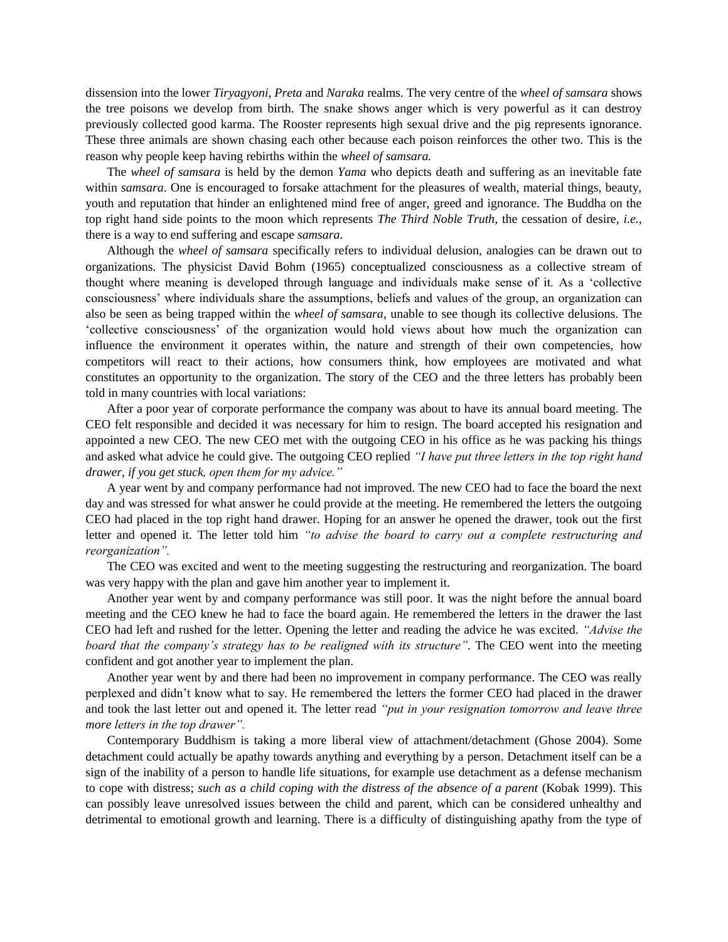dissension into the lower *Tiryagyoni*, *Preta* and *Naraka* realms. The very centre of the *wheel of samsara* shows the tree poisons we develop from birth. The snake shows anger which is very powerful as it can destroy previously collected good karma. The Rooster represents high sexual drive and the pig represents ignorance. These three animals are shown chasing each other because each poison reinforces the other two. This is the reason why people keep having rebirths within the *wheel of samsara.*

The *wheel of samsara* is held by the demon *Yama* who depicts death and suffering as an inevitable fate within *samsara*. One is encouraged to forsake attachment for the pleasures of wealth, material things, beauty, youth and reputation that hinder an enlightened mind free of anger, greed and ignorance. The Buddha on the top right hand side points to the moon which represents *The Third Noble Truth,* the cessation of desire, *i.e.,*  there is a way to end suffering and escape *samsara*.

Although the *wheel of samsara* specifically refers to individual delusion, analogies can be drawn out to organizations. The physicist David Bohm (1965) conceptualized consciousness as a collective stream of thought where meaning is developed through language and individuals make sense of it. As a 'collective consciousness' where individuals share the assumptions, beliefs and values of the group, an organization can also be seen as being trapped within the *wheel of samsara*, unable to see though its collective delusions. The 'collective consciousness' of the organization would hold views about how much the organization can influence the environment it operates within, the nature and strength of their own competencies, how competitors will react to their actions, how consumers think, how employees are motivated and what constitutes an opportunity to the organization. The story of the CEO and the three letters has probably been told in many countries with local variations:

After a poor year of corporate performance the company was about to have its annual board meeting. The CEO felt responsible and decided it was necessary for him to resign. The board accepted his resignation and appointed a new CEO. The new CEO met with the outgoing CEO in his office as he was packing his things and asked what advice he could give. The outgoing CEO replied *"I have put three letters in the top right hand drawer, if you get stuck, open them for my advice."*

A year went by and company performance had not improved. The new CEO had to face the board the next day and was stressed for what answer he could provide at the meeting. He remembered the letters the outgoing CEO had placed in the top right hand drawer. Hoping for an answer he opened the drawer, took out the first letter and opened it. The letter told him *"to advise the board to carry out a complete restructuring and reorganization".*

The CEO was excited and went to the meeting suggesting the restructuring and reorganization. The board was very happy with the plan and gave him another year to implement it.

Another year went by and company performance was still poor. It was the night before the annual board meeting and the CEO knew he had to face the board again. He remembered the letters in the drawer the last CEO had left and rushed for the letter. Opening the letter and reading the advice he was excited. *"Advise the board that the company"s strategy has to be realigned with its structure"*. The CEO went into the meeting confident and got another year to implement the plan.

Another year went by and there had been no improvement in company performance. The CEO was really perplexed and didn't know what to say. He remembered the letters the former CEO had placed in the drawer and took the last letter out and opened it. The letter read *"put in your resignation tomorrow and leave three more letters in the top drawer".*

Contemporary Buddhism is taking a more liberal view of attachment/detachment (Ghose 2004). Some detachment could actually be apathy towards anything and everything by a person. Detachment itself can be a sign of the inability of a person to handle life situations, for example use detachment as a defense mechanism to cope with distress; *such as a child coping with the distress of the absence of a parent* (Kobak 1999). This can possibly leave unresolved issues between the child and parent, which can be considered unhealthy and detrimental to emotional growth and learning. There is a difficulty of distinguishing apathy from the type of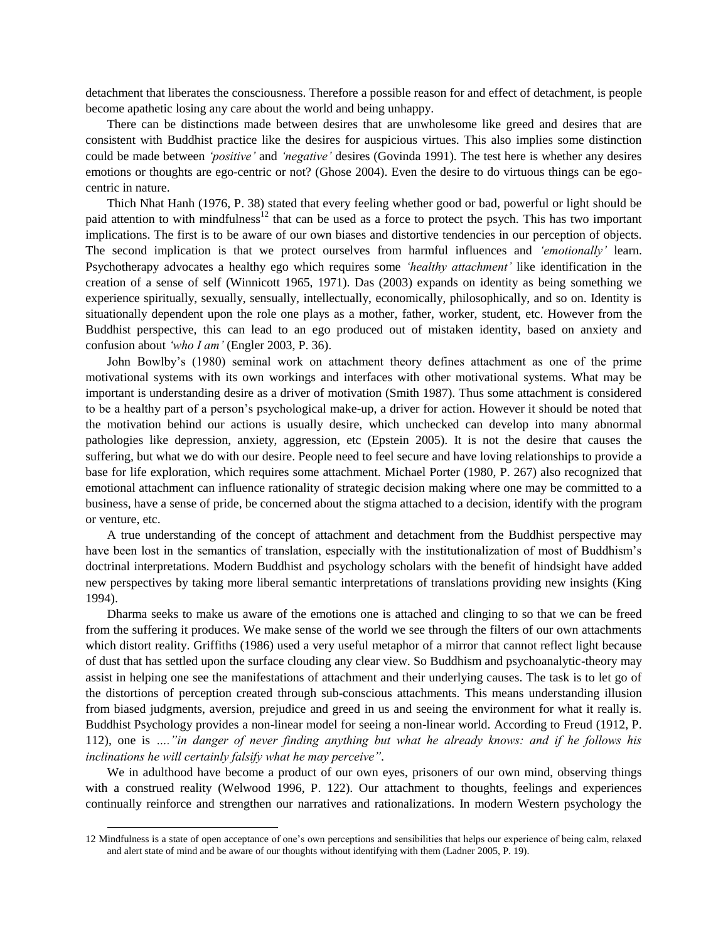detachment that liberates the consciousness. Therefore a possible reason for and effect of detachment, is people become apathetic losing any care about the world and being unhappy.

There can be distinctions made between desires that are unwholesome like greed and desires that are consistent with Buddhist practice like the desires for auspicious virtues. This also implies some distinction could be made between *"positive"* and *"negative"* desires (Govinda 1991). The test here is whether any desires emotions or thoughts are ego-centric or not? (Ghose 2004). Even the desire to do virtuous things can be egocentric in nature.

Thich Nhat Hanh (1976, P. 38) stated that every feeling whether good or bad, powerful or light should be paid attention to with mindfulness<sup>12</sup> that can be used as a force to protect the psych. This has two important implications. The first is to be aware of our own biases and distortive tendencies in our perception of objects. The second implication is that we protect ourselves from harmful influences and *"emotionally"* learn. Psychotherapy advocates a healthy ego which requires some *"healthy attachment"* like identification in the creation of a sense of self (Winnicott 1965, 1971). Das (2003) expands on identity as being something we experience spiritually, sexually, sensually, intellectually, economically, philosophically, and so on. Identity is situationally dependent upon the role one plays as a mother, father, worker, student, etc. However from the Buddhist perspective, this can lead to an ego produced out of mistaken identity, based on anxiety and confusion about *"who I am"* (Engler 2003, P. 36).

John Bowlby's (1980) seminal work on attachment theory defines attachment as one of the prime motivational systems with its own workings and interfaces with other motivational systems. What may be important is understanding desire as a driver of motivation (Smith 1987). Thus some attachment is considered to be a healthy part of a person's psychological make-up, a driver for action. However it should be noted that the motivation behind our actions is usually desire, which unchecked can develop into many abnormal pathologies like depression, anxiety, aggression, etc (Epstein 2005). It is not the desire that causes the suffering, but what we do with our desire. People need to feel secure and have loving relationships to provide a base for life exploration, which requires some attachment. Michael Porter (1980, P. 267) also recognized that emotional attachment can influence rationality of strategic decision making where one may be committed to a business, have a sense of pride, be concerned about the stigma attached to a decision, identify with the program or venture, etc.

A true understanding of the concept of attachment and detachment from the Buddhist perspective may have been lost in the semantics of translation, especially with the institutionalization of most of Buddhism's doctrinal interpretations. Modern Buddhist and psychology scholars with the benefit of hindsight have added new perspectives by taking more liberal semantic interpretations of translations providing new insights (King 1994).

Dharma seeks to make us aware of the emotions one is attached and clinging to so that we can be freed from the suffering it produces. We make sense of the world we see through the filters of our own attachments which distort reality. Griffiths (1986) used a very useful metaphor of a mirror that cannot reflect light because of dust that has settled upon the surface clouding any clear view. So Buddhism and psychoanalytic-theory may assist in helping one see the manifestations of attachment and their underlying causes. The task is to let go of the distortions of perception created through sub-conscious attachments. This means understanding illusion from biased judgments, aversion, prejudice and greed in us and seeing the environment for what it really is. Buddhist Psychology provides a non-linear model for seeing a non-linear world. According to Freud (1912, P. 112), one is *…."in danger of never finding anything but what he already knows: and if he follows his inclinations he will certainly falsify what he may perceive"*.

We in adulthood have become a product of our own eyes, prisoners of our own mind, observing things with a construed reality (Welwood 1996, P. 122). Our attachment to thoughts, feelings and experiences continually reinforce and strengthen our narratives and rationalizations. In modern Western psychology the

<sup>12</sup> Mindfulness is a state of open acceptance of one's own perceptions and sensibilities that helps our experience of being calm, relaxed and alert state of mind and be aware of our thoughts without identifying with them (Ladner 2005, P. 19).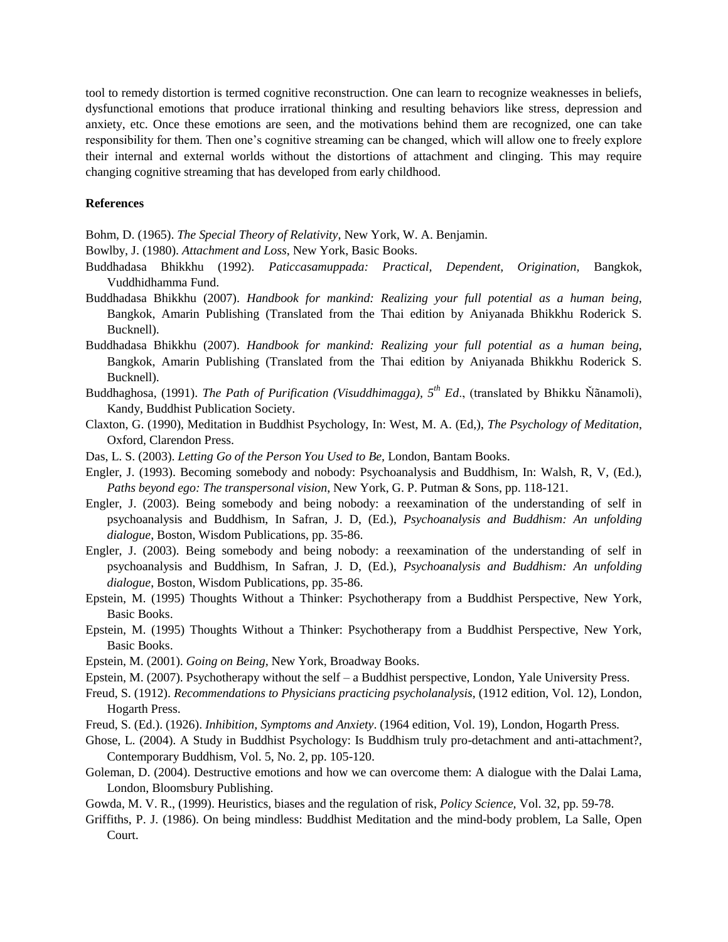tool to remedy distortion is termed cognitive reconstruction. One can learn to recognize weaknesses in beliefs, dysfunctional emotions that produce irrational thinking and resulting behaviors like stress, depression and anxiety, etc. Once these emotions are seen, and the motivations behind them are recognized, one can take responsibility for them. Then one's cognitive streaming can be changed, which will allow one to freely explore their internal and external worlds without the distortions of attachment and clinging. This may require changing cognitive streaming that has developed from early childhood.

## **References**

Bohm, D. (1965). *The Special Theory of Relativity*, New York, W. A. Benjamin.

Bowlby, J. (1980). *Attachment and Loss*, New York, Basic Books.

- Buddhadasa Bhikkhu (1992). *Paticcasamuppada: Practical, Dependent, Origination,* Bangkok, Vuddhidhamma Fund.
- Buddhadasa Bhikkhu (2007). *Handbook for mankind: Realizing your full potential as a human being,* Bangkok, Amarin Publishing (Translated from the Thai edition by Aniyanada Bhikkhu Roderick S. Bucknell).
- Buddhadasa Bhikkhu (2007). *Handbook for mankind: Realizing your full potential as a human being,* Bangkok, Amarin Publishing (Translated from the Thai edition by Aniyanada Bhikkhu Roderick S. Bucknell).
- Buddhaghosa, (1991). *The Path of Purification (Visuddhimagga), 5th Ed*., (translated by Bhikku Ňãnamoli), Kandy, Buddhist Publication Society.
- Claxton, G. (1990), Meditation in Buddhist Psychology, In: West, M. A. (Ed,), *The Psychology of Meditation*, Oxford, Clarendon Press.
- Das, L. S. (2003). *Letting Go of the Person You Used to Be,* London, Bantam Books.
- Engler, J. (1993). Becoming somebody and nobody: Psychoanalysis and Buddhism, In: Walsh, R, V, (Ed.), *Paths beyond ego: The transpersonal vision*, New York, G. P. Putman & Sons, pp. 118-121.
- Engler, J. (2003). Being somebody and being nobody: a reexamination of the understanding of self in psychoanalysis and Buddhism, In Safran, J. D, (Ed.), *Psychoanalysis and Buddhism: An unfolding dialogue*, Boston, Wisdom Publications, pp. 35-86.
- Engler, J. (2003). Being somebody and being nobody: a reexamination of the understanding of self in psychoanalysis and Buddhism, In Safran, J. D, (Ed.), *Psychoanalysis and Buddhism: An unfolding dialogue*, Boston, Wisdom Publications, pp. 35-86.
- Epstein, M. (1995) Thoughts Without a Thinker: Psychotherapy from a Buddhist Perspective, New York, Basic Books.
- Epstein, M. (1995) Thoughts Without a Thinker: Psychotherapy from a Buddhist Perspective, New York, Basic Books.
- Epstein, M. (2001). *Going on Being,* New York, Broadway Books.
- Epstein, M. (2007). Psychotherapy without the self a Buddhist perspective, London, Yale University Press.
- Freud, S. (1912). *Recommendations to Physicians practicing psycholanalysis,* (1912 edition, Vol. 12), London*,*  Hogarth Press.
- Freud, S. (Ed.). (1926). *Inhibition, Symptoms and Anxiety*. (1964 edition, Vol. 19), London, Hogarth Press.
- Ghose, L. (2004). A Study in Buddhist Psychology: Is Buddhism truly pro-detachment and anti-attachment?, Contemporary Buddhism, Vol. 5, No. 2, pp. 105-120.
- Goleman, D. (2004). Destructive emotions and how we can overcome them: A dialogue with the Dalai Lama, London, Bloomsbury Publishing.
- Gowda, M. V. R., (1999). Heuristics, biases and the regulation of risk, *Policy Science,* Vol. 32, pp. 59-78.
- Griffiths, P. J. (1986). On being mindless: Buddhist Meditation and the mind-body problem, La Salle, Open Court.